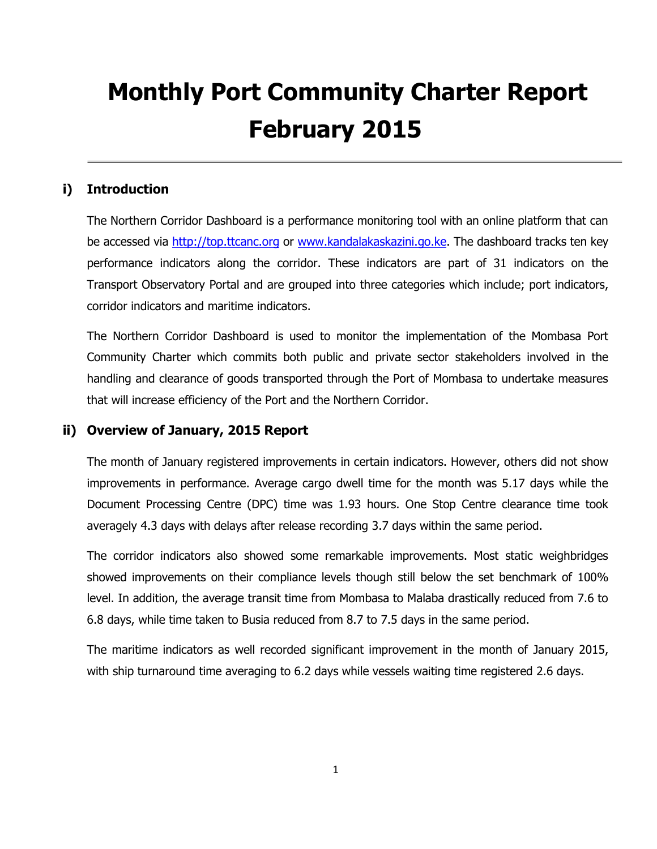# **Monthly Port Community Charter Report February 2015**

## **i) Introduction**

The Northern Corridor Dashboard is a performance monitoring tool with an online platform that can be accessed via [http://top.ttcanc.org](http://top.ttcanc.org/) or [www.kandalakaskazini.go.ke.](http://www.kandalakaskazini.go.ke/) The dashboard tracks ten key performance indicators along the corridor. These indicators are part of 31 indicators on the Transport Observatory Portal and are grouped into three categories which include; port indicators, corridor indicators and maritime indicators.

The Northern Corridor Dashboard is used to monitor the implementation of the Mombasa Port Community Charter which commits both public and private sector stakeholders involved in the handling and clearance of goods transported through the Port of Mombasa to undertake measures that will increase efficiency of the Port and the Northern Corridor.

### **ii) Overview of January, 2015 Report**

The month of January registered improvements in certain indicators. However, others did not show improvements in performance. Average cargo dwell time for the month was 5.17 days while the Document Processing Centre (DPC) time was 1.93 hours. One Stop Centre clearance time took averagely 4.3 days with delays after release recording 3.7 days within the same period.

The corridor indicators also showed some remarkable improvements. Most static weighbridges showed improvements on their compliance levels though still below the set benchmark of 100% level. In addition, the average transit time from Mombasa to Malaba drastically reduced from 7.6 to 6.8 days, while time taken to Busia reduced from 8.7 to 7.5 days in the same period.

The maritime indicators as well recorded significant improvement in the month of January 2015, with ship turnaround time averaging to 6.2 days while vessels waiting time registered 2.6 days.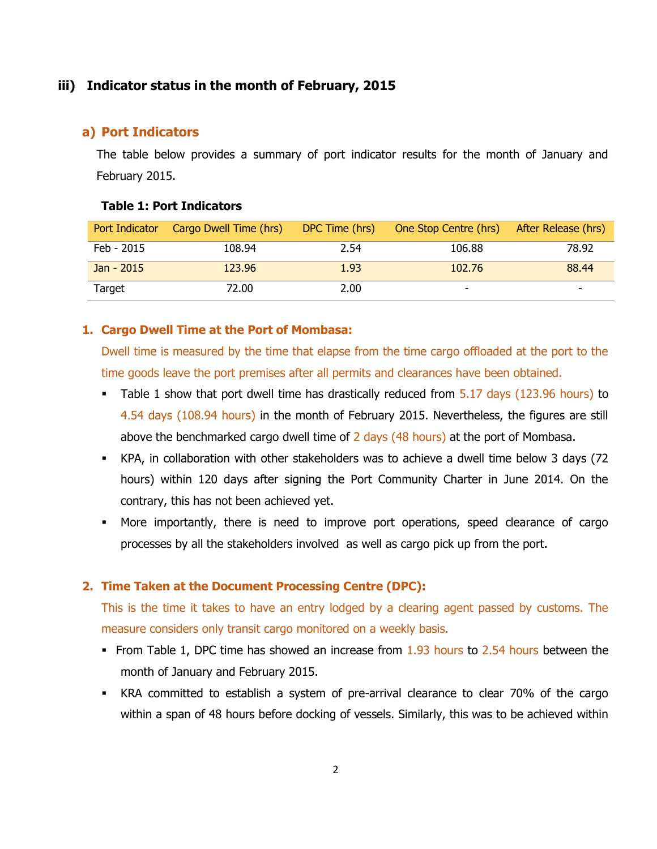### **iii) Indicator status in the month of February, 2015**

#### **a) Port Indicators**

The table below provides a summary of port indicator results for the month of January and February 2015.

#### **Table 1: Port Indicators**

| Port Indicator | Cargo Dwell Time (hrs) | DPC Time (hrs) | One Stop Centre (hrs) | After Release (hrs) |
|----------------|------------------------|----------------|-----------------------|---------------------|
| Feb - 2015     | 108.94                 | 2.54           | 106.88                | 78.92               |
| Jan - 2015     | 123.96                 | 1.93           | 102.76                | 88.44               |
| Target         | 72.00                  | 2.00           | -                     |                     |

#### **1. Cargo Dwell Time at the Port of Mombasa:**

Dwell time is measured by the time that elapse from the time cargo offloaded at the port to the time goods leave the port premises after all permits and clearances have been obtained.

- Table 1 show that port dwell time has drastically reduced from 5.17 days (123.96 hours) to 4.54 days (108.94 hours) in the month of February 2015. Nevertheless, the figures are still above the benchmarked cargo dwell time of 2 days (48 hours) at the port of Mombasa.
- KPA, in collaboration with other stakeholders was to achieve a dwell time below 3 days (72 hours) within 120 days after signing the Port Community Charter in June 2014. On the contrary, this has not been achieved yet.
- More importantly, there is need to improve port operations, speed clearance of cargo processes by all the stakeholders involved as well as cargo pick up from the port.

### **2. Time Taken at the Document Processing Centre (DPC):**

This is the time it takes to have an entry lodged by a clearing agent passed by customs. The measure considers only transit cargo monitored on a weekly basis.

- From Table 1, DPC time has showed an increase from  $1.93$  hours to  $2.54$  hours between the month of January and February 2015.
- KRA committed to establish a system of pre-arrival clearance to clear 70% of the cargo within a span of 48 hours before docking of vessels. Similarly, this was to be achieved within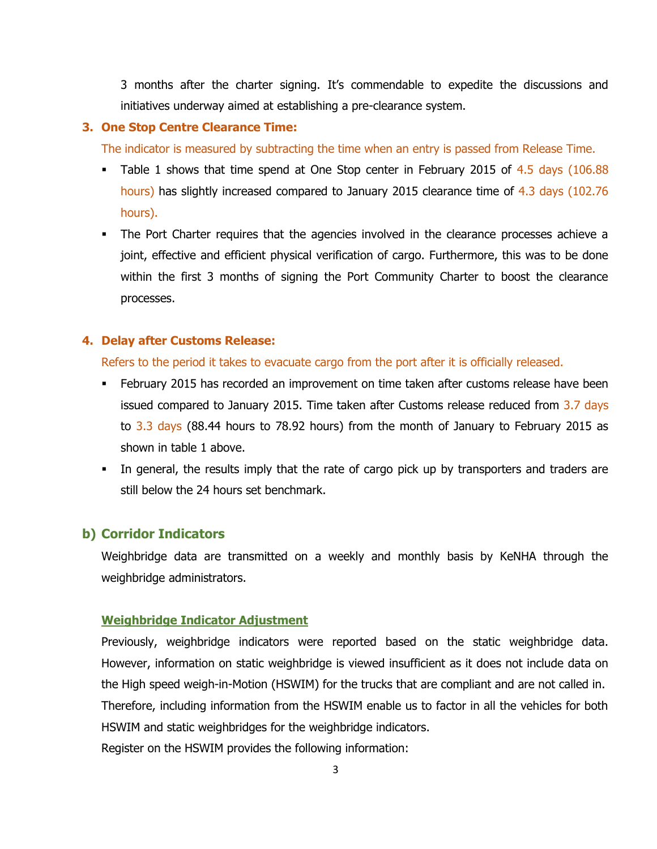3 months after the charter signing. It's commendable to expedite the discussions and initiatives underway aimed at establishing a pre-clearance system.

#### **3. One Stop Centre Clearance Time:**

The indicator is measured by subtracting the time when an entry is passed from Release Time.

- Table 1 shows that time spend at One Stop center in February 2015 of  $4.5$  days (106.88) hours) has slightly increased compared to January 2015 clearance time of 4.3 days (102.76 hours).
- The Port Charter requires that the agencies involved in the clearance processes achieve a joint, effective and efficient physical verification of cargo. Furthermore, this was to be done within the first 3 months of signing the Port Community Charter to boost the clearance processes.

#### **4. Delay after Customs Release:**

Refers to the period it takes to evacuate cargo from the port after it is officially released.

- **February 2015 has recorded an improvement on time taken after customs release have been** issued compared to January 2015. Time taken after Customs release reduced from 3.7 days to 3.3 days (88.44 hours to 78.92 hours) from the month of January to February 2015 as shown in table 1 above.
- In general, the results imply that the rate of cargo pick up by transporters and traders are still below the 24 hours set benchmark.

### **b) Corridor Indicators**

Weighbridge data are transmitted on a weekly and monthly basis by KeNHA through the weighbridge administrators.

#### **Weighbridge Indicator Adjustment**

Previously, weighbridge indicators were reported based on the static weighbridge data. However, information on static weighbridge is viewed insufficient as it does not include data on the High speed weigh-in-Motion (HSWIM) for the trucks that are compliant and are not called in. Therefore, including information from the HSWIM enable us to factor in all the vehicles for both HSWIM and static weighbridges for the weighbridge indicators. Register on the HSWIM provides the following information: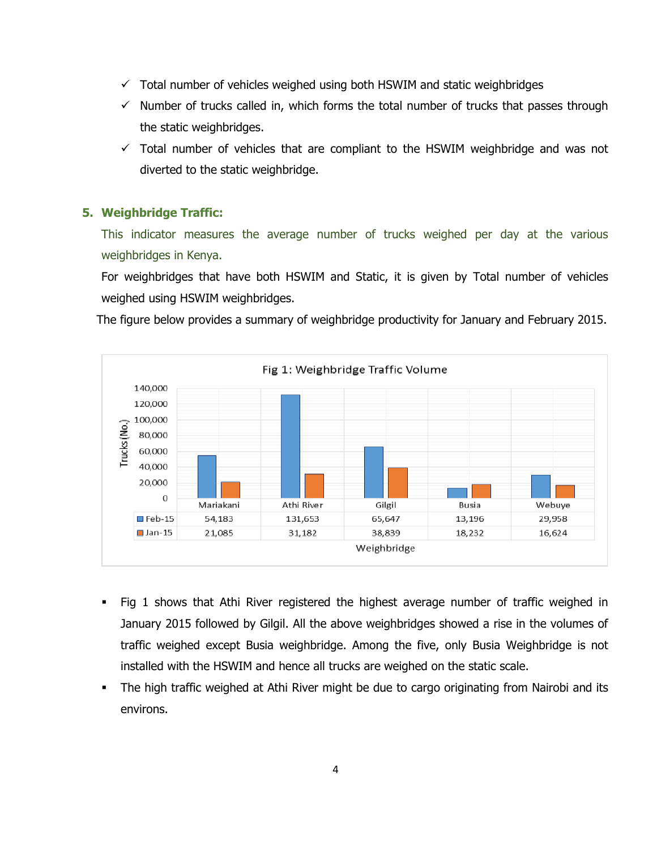- $\checkmark$  Total number of vehicles weighed using both HSWIM and static weighbridges
- $\checkmark$  Number of trucks called in, which forms the total number of trucks that passes through the static weighbridges.
- $\checkmark$  Total number of vehicles that are compliant to the HSWIM weighbridge and was not diverted to the static weighbridge.

#### **5. Weighbridge Traffic:**

This indicator measures the average number of trucks weighed per day at the various weighbridges in Kenya.

For weighbridges that have both HSWIM and Static, it is given by Total number of vehicles weighed using HSWIM weighbridges.

The figure below provides a summary of weighbridge productivity for January and February 2015.



- Fig 1 shows that Athi River registered the highest average number of traffic weighed in January 2015 followed by Gilgil. All the above weighbridges showed a rise in the volumes of traffic weighed except Busia weighbridge. Among the five, only Busia Weighbridge is not installed with the HSWIM and hence all trucks are weighed on the static scale.
- The high traffic weighed at Athi River might be due to cargo originating from Nairobi and its environs.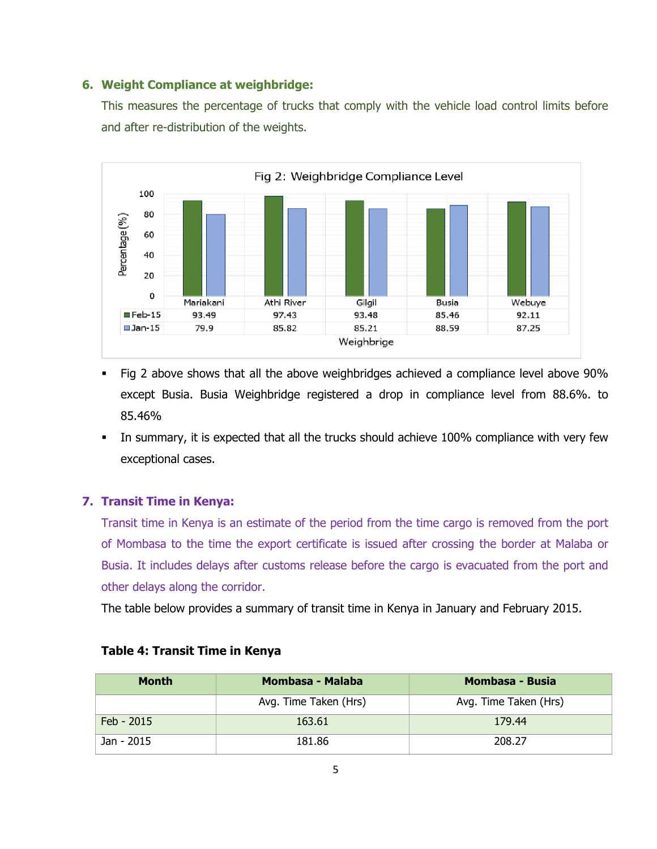#### **6. Weight Compliance at weighbridge:**

This measures the percentage of trucks that comply with the vehicle load control limits before and after re-distribution of the weights.



- Fig 2 above shows that all the above weighbridges achieved a compliance level above 90% except Busia. Busia Weighbridge registered a drop in compliance level from 88.6%. to 85.46%
- In summary, it is expected that all the trucks should achieve 100% compliance with very few exceptional cases.

### **7. Transit Time in Kenya:**

Transit time in Kenya is an estimate of the period from the time cargo is removed from the port of Mombasa to the time the export certificate is issued after crossing the border at Malaba or Busia. It includes delays after customs release before the cargo is evacuated from the port and other delays along the corridor.

The table below provides a summary of transit time in Kenya in January and February 2015.

| <b>Month</b> | Mombasa - Malaba      | Mombasa - Busia       |  |
|--------------|-----------------------|-----------------------|--|
|              | Avg. Time Taken (Hrs) | Avg. Time Taken (Hrs) |  |
| Feb - 2015   | 163.61                | 179.44                |  |
| Jan - 2015   | 181.86                | 208.27                |  |

### **Table 4: Transit Time in Kenya**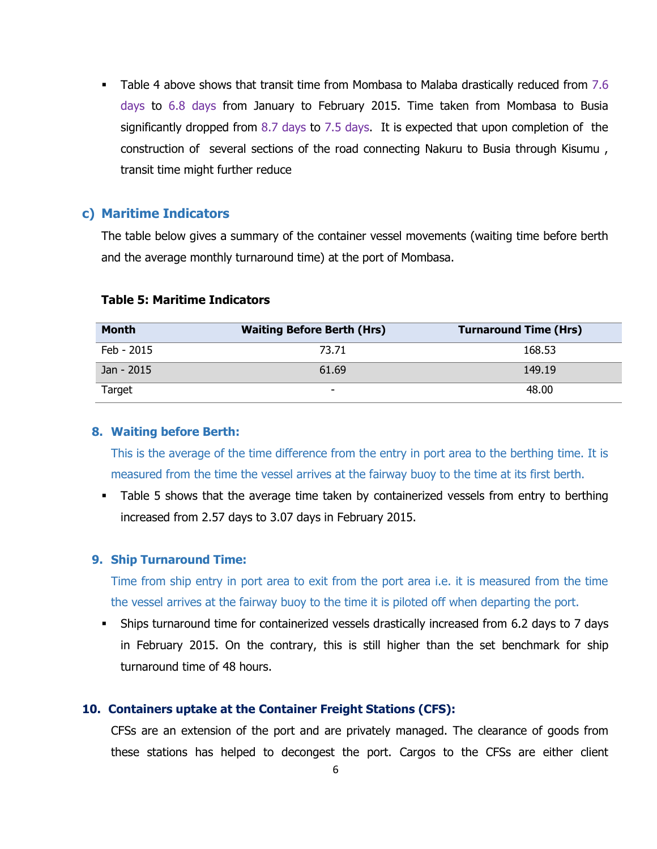Table 4 above shows that transit time from Mombasa to Malaba drastically reduced from 7.6 days to 6.8 days from January to February 2015. Time taken from Mombasa to Busia significantly dropped from 8.7 days to 7.5 days. It is expected that upon completion of the construction of several sections of the road connecting Nakuru to Busia through Kisumu , transit time might further reduce

### **c) Maritime Indicators**

The table below gives a summary of the container vessel movements (waiting time before berth and the average monthly turnaround time) at the port of Mombasa.

| <b>Month</b> | <b>Waiting Before Berth (Hrs)</b> | <b>Turnaround Time (Hrs)</b> |
|--------------|-----------------------------------|------------------------------|
| Feb - 2015   | 73.71                             | 168.53                       |
| Jan - 2015   | 61.69                             | 149.19                       |
| Target       | $\overline{\phantom{0}}$          | 48.00                        |

#### **Table 5: Maritime Indicators**

#### **8. Waiting before Berth:**

This is the average of the time difference from the entry in port area to the berthing time. It is measured from the time the vessel arrives at the fairway buoy to the time at its first berth.

 Table 5 shows that the average time taken by containerized vessels from entry to berthing increased from 2.57 days to 3.07 days in February 2015.

#### **9. Ship Turnaround Time:**

Time from ship entry in port area to exit from the port area i.e. it is measured from the time the vessel arrives at the fairway buoy to the time it is piloted off when departing the port.

 Ships turnaround time for containerized vessels drastically increased from 6.2 days to 7 days in February 2015. On the contrary, this is still higher than the set benchmark for ship turnaround time of 48 hours.

#### **10. Containers uptake at the Container Freight Stations (CFS):**

CFSs are an extension of the port and are privately managed. The clearance of goods from these stations has helped to decongest the port. Cargos to the CFSs are either client